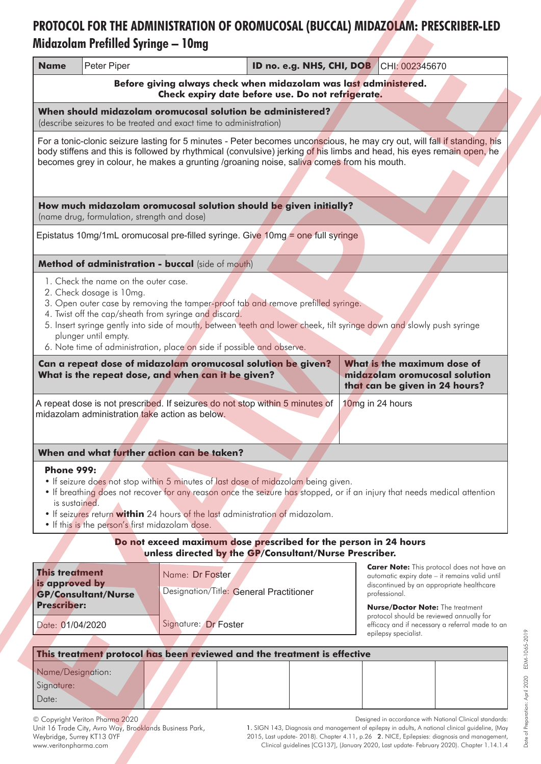## **Midazolam Prefilled Syringe - 10mg** PROTOCOL FOR THE ADMINISTRATION OF OROMUCOSAL (BUCCAL) MIDAZOLAM: PRESCRIBER-LED

| <b>Name</b>                                                                                                                                                                                                                                                                                                                                                                                                                               | Peter Piper |                                                            |  | ID no. e.g. NHS, CHI, DOB |  | CHI: 002345670                                                                                                                                                                                               |  |  |  |  |
|-------------------------------------------------------------------------------------------------------------------------------------------------------------------------------------------------------------------------------------------------------------------------------------------------------------------------------------------------------------------------------------------------------------------------------------------|-------------|------------------------------------------------------------|--|---------------------------|--|--------------------------------------------------------------------------------------------------------------------------------------------------------------------------------------------------------------|--|--|--|--|
| Before giving always check when midazolam was last administered.<br>Check expiry date before use. Do not refrigerate.                                                                                                                                                                                                                                                                                                                     |             |                                                            |  |                           |  |                                                                                                                                                                                                              |  |  |  |  |
| When should midazolam oromucosal solution be administered?<br>(describe seizures to be treated and exact time to administration)                                                                                                                                                                                                                                                                                                          |             |                                                            |  |                           |  |                                                                                                                                                                                                              |  |  |  |  |
| For a tonic-clonic seizure lasting for 5 minutes - Peter becomes unconscious, he may cry out, will fall if standing, his<br>body stiffens and this is followed by rhythmical (convulsive) jerking of his limbs and head, his eyes remain open, he<br>becomes grey in colour, he makes a grunting /groaning noise, saliva comes from his mouth.                                                                                            |             |                                                            |  |                           |  |                                                                                                                                                                                                              |  |  |  |  |
|                                                                                                                                                                                                                                                                                                                                                                                                                                           |             |                                                            |  |                           |  |                                                                                                                                                                                                              |  |  |  |  |
| How much midazolam oromucosal solution should be given initially?<br>(name drug, formulation, strength and dose)                                                                                                                                                                                                                                                                                                                          |             |                                                            |  |                           |  |                                                                                                                                                                                                              |  |  |  |  |
| Epistatus 10mg/1mL oromucosal pre-filled syringe. Give 10mg = one full syringe                                                                                                                                                                                                                                                                                                                                                            |             |                                                            |  |                           |  |                                                                                                                                                                                                              |  |  |  |  |
| Method of administration - buccal (side of mouth)                                                                                                                                                                                                                                                                                                                                                                                         |             |                                                            |  |                           |  |                                                                                                                                                                                                              |  |  |  |  |
| 1. Check the name on the outer case.<br>2. Check dosage is 10mg.<br>3. Open outer case by removing the tamper-proof tab and remove prefilled syringe.<br>4. Twist off the cap/sheath from syringe and discard.<br>5. Insert syringe gently into side of mouth, between teeth and lower cheek, tilt syringe down and slowly push syringe<br>plunger until empty.<br>6. Note time of administration, place on side if possible and observe. |             |                                                            |  |                           |  |                                                                                                                                                                                                              |  |  |  |  |
| Can a repeat dose of midazolam oromucosal solution be given?<br>What is the repeat dose, and when can it be given?                                                                                                                                                                                                                                                                                                                        |             |                                                            |  |                           |  | What is the maximum dose of<br>midazolam oromucosal solution<br>that can be given in 24 hours?                                                                                                               |  |  |  |  |
| A repeat dose is not prescribed. If seizures do not stop within 5 minutes of<br>10mg in 24 hours<br>midazolam administration take action as below.                                                                                                                                                                                                                                                                                        |             |                                                            |  |                           |  |                                                                                                                                                                                                              |  |  |  |  |
|                                                                                                                                                                                                                                                                                                                                                                                                                                           |             |                                                            |  |                           |  |                                                                                                                                                                                                              |  |  |  |  |
|                                                                                                                                                                                                                                                                                                                                                                                                                                           |             | When and what further action can be taken?                 |  |                           |  |                                                                                                                                                                                                              |  |  |  |  |
| <b>Phone 999:</b><br>. If seizure does not stop within 5 minutes of last dose of midazolam being given.<br>• If breathing does not recover for any reason once the seizure has stopped, or if an injury that needs medical attention<br>is sustained.<br>. If seizures return within 24 hours of the last administration of midazolam.<br>. If this is the person's first midazolam dose.                                                 |             |                                                            |  |                           |  |                                                                                                                                                                                                              |  |  |  |  |
| Do not exceed maximum dose prescribed for the person in 24 hours<br>unless directed by the GP/Consultant/Nurse Prescriber.                                                                                                                                                                                                                                                                                                                |             |                                                            |  |                           |  |                                                                                                                                                                                                              |  |  |  |  |
| <b>This treatment</b><br>is approved by<br><b>GP/Consultant/Nurse</b><br><b>Prescriber:</b>                                                                                                                                                                                                                                                                                                                                               |             | Name: Dr Foster<br>Designation/Title: General Practitioner |  |                           |  | <b>Carer Note:</b> This protocol does not have an<br>automatic expiry date – it remains valid until<br>discontinued by an appropriate healthcare<br>professional.<br><b>Nurse/Doctor Note: The treatment</b> |  |  |  |  |
| Date: 01/04/2020                                                                                                                                                                                                                                                                                                                                                                                                                          |             | Signature: Dr Foster                                       |  |                           |  | protocol should be reviewed annually for<br>efficacy and if necessary a referral made to an<br>epilepsy specialist.                                                                                          |  |  |  |  |
| This treatment protocol has been reviewed and the treatment is effective                                                                                                                                                                                                                                                                                                                                                                  |             |                                                            |  |                           |  |                                                                                                                                                                                                              |  |  |  |  |
| Name/Designation:<br>Signature:<br>Date:                                                                                                                                                                                                                                                                                                                                                                                                  |             |                                                            |  |                           |  |                                                                                                                                                                                                              |  |  |  |  |

© Copyright Veriton Pharma 2020 Unit 16 Trade City, Avro Way, Brooklands Business Park, Weybridge, Surrey KT13 OYF www.veritonpharma.com

Designed in accordance with National Clinical standards:

1. SIGN 143, Diagnosis and management of epilepsy in adults, A national clinical guideline, (May 2015, Last update- 2018). Chapter 4.11, p.26 2. NICE, Epilepsies: diagnosis and management, Clinical guidelines [CG137], (January 2020, Last update- February 2020). Chapter 1.14.1.4